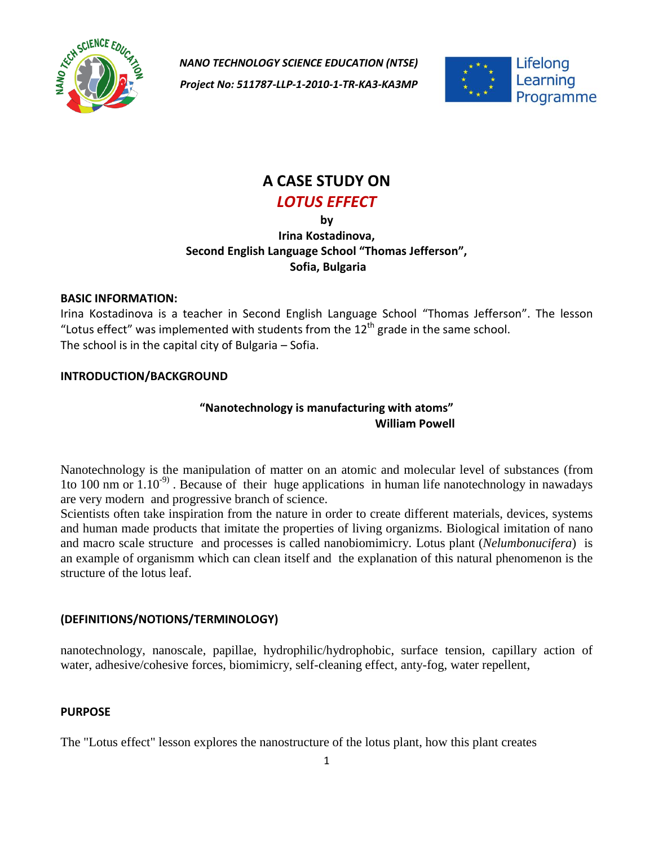

*NANO TECHNOLOGY SCIENCE EDUCATION (NTSE) Project No: 511787-LLP-1-2010-1-TR-KA3-KA3MP*



# **A CASE STUDY ON** *LOTUS EFFECT*

**by**

## **Irina Kostadinova, Second English Language School "Thomas Jefferson", Sofia, Bulgaria**

#### **BASIC INFORMATION:**

Irina Kostadinova is a teacher in Second English Language School "Thomas Jefferson". The lesson "Lotus effect" was implemented with students from the  $12<sup>th</sup>$  grade in the same school. The school is in the capital city of Bulgaria – Sofia.

#### **INTRODUCTION/BACKGROUND**

## **"Nanotechnology is manufacturing with atoms" William Powell**

Nanotechnology is the manipulation of matter on an atomic and molecular level of substances (from 1to 100 nm or  $1.10^{-9}$ . Because of their huge applications in human life nanotechnology in nawadays are very modern and progressive branch of science.

Scientists often take inspiration from the nature in order to create different materials, devices, systems and human made products that imitate the properties of living organizms. Biological imitation of nano and macro scale structure and processes is called nanobiomimicry. Lotus plant (*Nelumbonucifera*) is an example of organismm which can clean itself and the explanation of this natural phenomenon is the structure of the lotus leaf.

#### **(DEFINITIONS/NOTIONS/TERMINOLOGY)**

nanotechnology, nanoscale, papillae, hydrophilic/hydrophobic, surface tension, capillary action of water, adhesive/cohesive forces, biomimicry, self-cleaning effect, anty-fog, water repellent,

#### **PURPOSE**

The "Lotus effect" lesson explores the nanostructure of the lotus plant, how this plant creates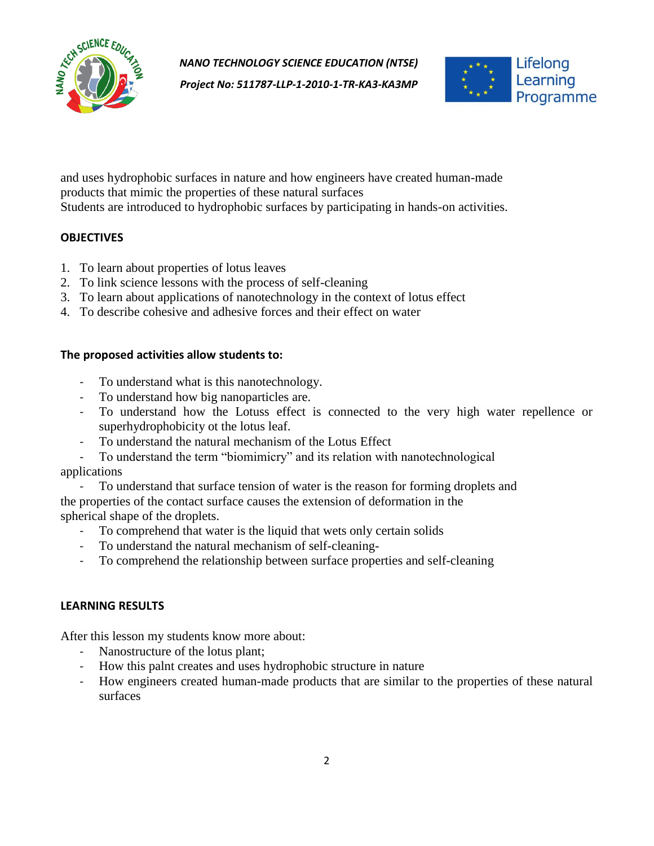

*Project No: 511787-LLP-1-2010-1-TR-KA3-KA3MP*



and uses hydrophobic surfaces in nature and how engineers have created human-made products that mimic the properties of these natural surfaces Students are introduced to hydrophobic surfaces by participating in hands-on activities.

#### **OBJECTIVES**

- 1. To learn about properties of lotus leaves
- 2. To link science lessons with the process of self-cleaning
- 3. To learn about applications of nanotechnology in the context of lotus effect
- 4. To describe cohesive and adhesive forces and their effect on water

#### **The proposed activities allow students to:**

- To understand what is this nanotechnology.
- To understand how big nanoparticles are.
- To understand how the Lotuss effect is connected to the very high water repellence or superhydrophobicity ot the lotus leaf.
- To understand the natural mechanism of the Lotus Effect
- To understand the term "biomimicry" and its relation with nanotechnological

## applications

- To understand that surface tension of water is the reason for forming droplets and the properties of the contact surface causes the extension of deformation in the spherical shape of the droplets.
	- To comprehend that water is the liquid that wets only certain solids
	- To understand the natural mechanism of self-cleaning-
	- To comprehend the relationship between surface properties and self-cleaning

#### **LEARNING RESULTS**

After this lesson my students know more about:

- Nanostructure of the lotus plant;
- How this palnt creates and uses hydrophobic structure in nature
- How engineers created human-made products that are similar to the properties of these natural surfaces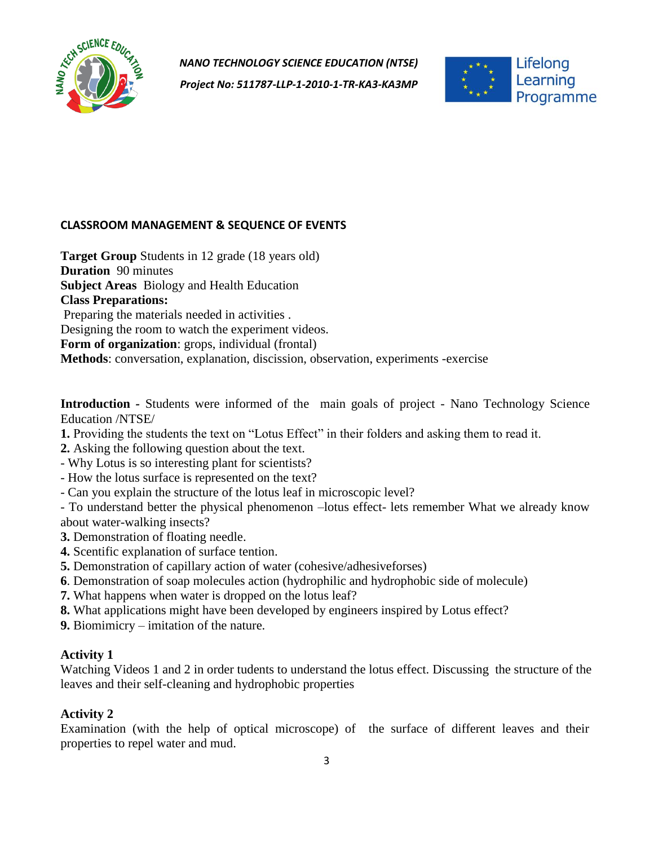

*Project No: 511787-LLP-1-2010-1-TR-KA3-KA3MP*



#### **CLASSROOM MANAGEMENT & SEQUENCE OF EVENTS**

**Target Group** Students in 12 grade (18 years old) **Duration** 90 minutes **Subject Areas** Biology and Health Education **Class Preparations:** Preparing the materials needed in activities . Designing the room to watch the experiment videos. **Form of organization**: grops, individual (frontal) **Methods**: conversation, explanation, discission, observation, experiments -exercise

**Introduction** *-* Students were informed of the main goals of project - Nano Technology Science Education /NTSE/

- **1.** Providing the students the text on "Lotus Effect" in their folders and asking them to read it.
- **2.** Asking the following question about the text.
- Why Lotus is so interesting plant for scientists?
- How the lotus surface is represented on the text?
- Can you explain the structure of the lotus leaf in microscopic level?

- To understand better the physical phenomenon –lotus effect- lets remember What we already know about water-walking insects?

- **3.** Demonstration of floating needle.
- **4.** Scentific explanation of surface tention.
- **5.** Demonstration of capillary action of water (cohesive/adhesiveforses)
- **6**. Demonstration of soap molecules action (hydrophilic and hydrophobic side of molecule)
- **7.** What happens when water is dropped on the lotus leaf?
- **8.** What applications might have been developed by engineers inspired by Lotus effect?

**9.** Biomimicry – imitation of the nature.

## **Activity 1**

Watching Videos 1 and 2 in order tudents to understand the lotus effect. Discussing the structure of the leaves and their self-cleaning and hydrophobic properties

## **Activity 2**

Examination (with the help of optical microscope) of the surface of different leaves and their properties to repel water and mud.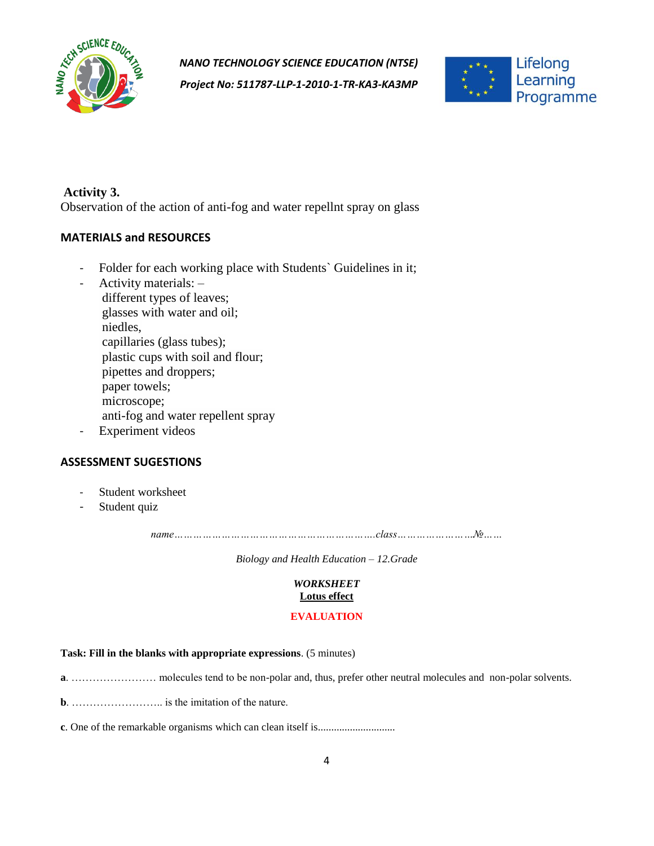

*Project No: 511787-LLP-1-2010-1-TR-KA3-KA3MP*



#### **Activity 3.**

Observation of the action of anti-fog and water repellnt spray on glass

#### **MATERIALS and RESOURCES**

- Folder for each working place with Students' Guidelines in it;
- Activity materials: different types of leaves; glasses with water and oil; niedles, capillaries (glass tubes); plastic cups with soil and flour; pipettes and droppers; paper towels; microscope; anti-fog and water repellent spray
- Experiment videos

#### **ASSESSMENT SUGESTIONS**

- Student worksheet
- Student quiz

*name……………………………………………………….class……………………№……*

*Biology and Health Education – 12.Grade*

## *WORKSHEET*

## **Lotus effect**

#### **EVALUATION**

#### **Task: Fill in the blanks with appropriate expressions**. (5 minutes)

**a**. …………………… molecules tend to be non-polar and, thus, prefer other neutral molecules and non-polar solvents.

**b**. …………………….. is the imitation of the nature.

**c**. One of the remarkable organisms which can clean itself is.............................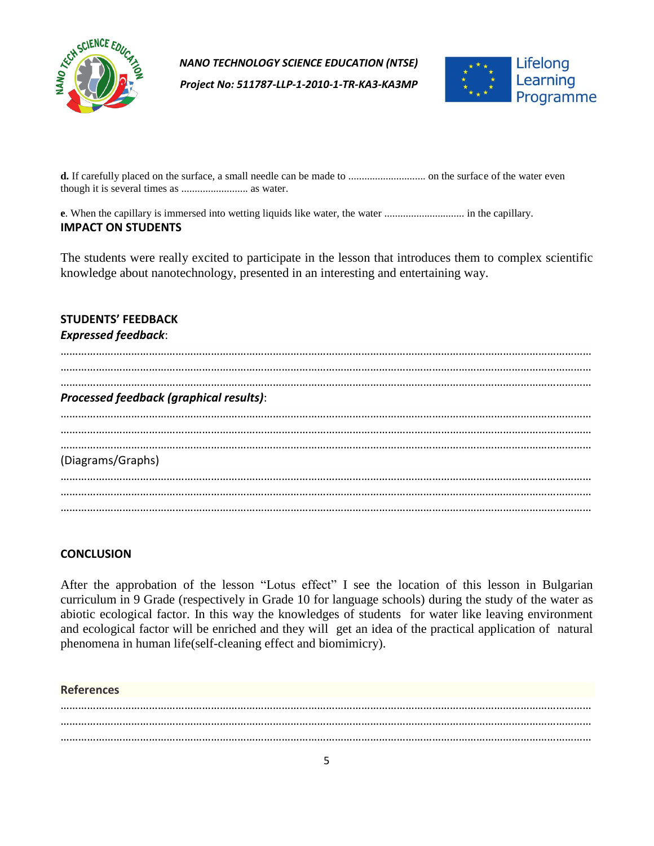

*Project No: 511787-LLP-1-2010-1-TR-KA3-KA3MP*



**d.** If carefully placed on the surface, a small needle can be made to ............................. on the surface of the water even though it is several times as ......................... as water.

**e**. When the capillary is immersed into wetting liquids like water, the water .............................. in the capillary. **IMPACT ON STUDENTS**

The students were really excited to participate in the lesson that introduces them to complex scientific knowledge about nanotechnology, presented in an interesting and entertaining way.

#### **STUDENTS' FEEDBACK**  *Expressed feedback*:

| Processed feedback (graphical results): |  |  |
|-----------------------------------------|--|--|
|                                         |  |  |
|                                         |  |  |
| (Diagrams/Graphs)                       |  |  |
|                                         |  |  |
|                                         |  |  |

## **CONCLUSION**

After the approbation of the lesson "Lotus effect" I see the location of this lesson in Bulgarian curriculum in 9 Grade (respectively in Grade 10 for language schools) during the study of the water as abiotic ecological factor. In this way the knowledges of students for water like leaving environment and ecological factor will be enriched and they will get an idea of the practical application of natural phenomena in human life(self-cleaning effect and biomimicry).

#### **References**